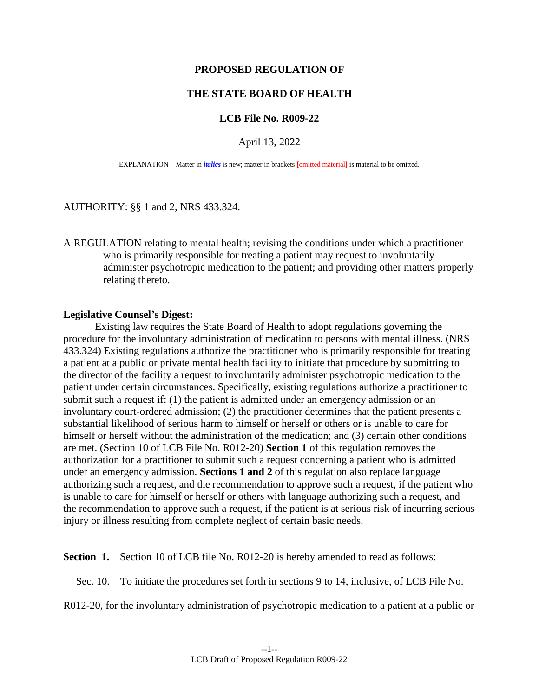## **PROPOSED REGULATION OF**

## **THE STATE BOARD OF HEALTH**

## **LCB File No. R009-22**

April 13, 2022

EXPLANATION – Matter in *italics* is new; matter in brackets **[**omitted material**]** is material to be omitted.

AUTHORITY: §§ 1 and 2, NRS 433.324.

A REGULATION relating to mental health; revising the conditions under which a practitioner who is primarily responsible for treating a patient may request to involuntarily administer psychotropic medication to the patient; and providing other matters properly relating thereto.

## **Legislative Counsel's Digest:**

Existing law requires the State Board of Health to adopt regulations governing the procedure for the involuntary administration of medication to persons with mental illness. (NRS 433.324) Existing regulations authorize the practitioner who is primarily responsible for treating a patient at a public or private mental health facility to initiate that procedure by submitting to the director of the facility a request to involuntarily administer psychotropic medication to the patient under certain circumstances. Specifically, existing regulations authorize a practitioner to submit such a request if: (1) the patient is admitted under an emergency admission or an involuntary court-ordered admission; (2) the practitioner determines that the patient presents a substantial likelihood of serious harm to himself or herself or others or is unable to care for himself or herself without the administration of the medication; and (3) certain other conditions are met. (Section 10 of LCB File No. R012-20) **Section 1** of this regulation removes the authorization for a practitioner to submit such a request concerning a patient who is admitted under an emergency admission. **Sections 1 and 2** of this regulation also replace language authorizing such a request, and the recommendation to approve such a request, if the patient who is unable to care for himself or herself or others with language authorizing such a request, and the recommendation to approve such a request, if the patient is at serious risk of incurring serious injury or illness resulting from complete neglect of certain basic needs.

**Section 1.** Section 10 of LCB file No. R012-20 is hereby amended to read as follows:

Sec. 10. To initiate the procedures set forth in sections 9 to 14, inclusive, of LCB File No.

R012-20, for the involuntary administration of psychotropic medication to a patient at a public or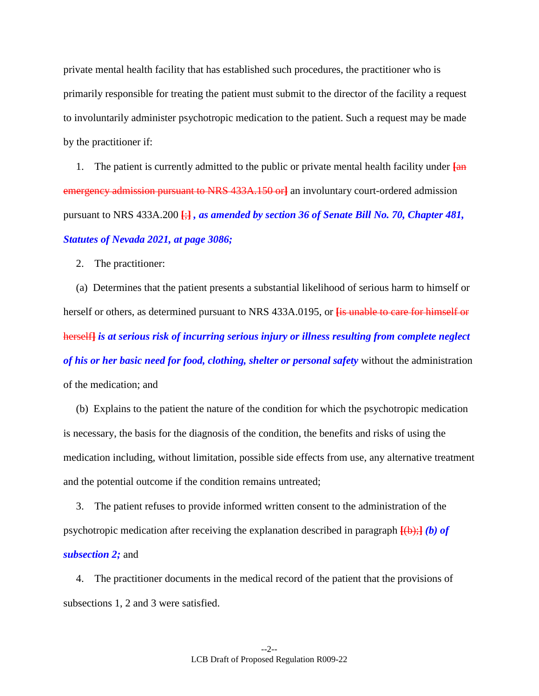private mental health facility that has established such procedures, the practitioner who is primarily responsible for treating the patient must submit to the director of the facility a request to involuntarily administer psychotropic medication to the patient. Such a request may be made by the practitioner if:

1. The patient is currently admitted to the public or private mental health facility under **[**an emergency admission pursuant to NRS 433A.150 or**]** an involuntary court-ordered admission pursuant to NRS 433A.200 **[**;**]** *, as amended by section 36 of Senate Bill No. 70, Chapter 481, Statutes of Nevada 2021, at page 3086;*

2. The practitioner:

(a) Determines that the patient presents a substantial likelihood of serious harm to himself or herself or others, as determined pursuant to NRS 433A.0195, or **[**is unable to care for himself or herself**]** *is at serious risk of incurring serious injury or illness resulting from complete neglect of his or her basic need for food, clothing, shelter or personal safety* without the administration of the medication; and

(b) Explains to the patient the nature of the condition for which the psychotropic medication is necessary, the basis for the diagnosis of the condition, the benefits and risks of using the medication including, without limitation, possible side effects from use, any alternative treatment and the potential outcome if the condition remains untreated;

3. The patient refuses to provide informed written consent to the administration of the psychotropic medication after receiving the explanation described in paragraph **[**(b);**]** *(b) of subsection 2;* and

4. The practitioner documents in the medical record of the patient that the provisions of subsections 1, 2 and 3 were satisfied.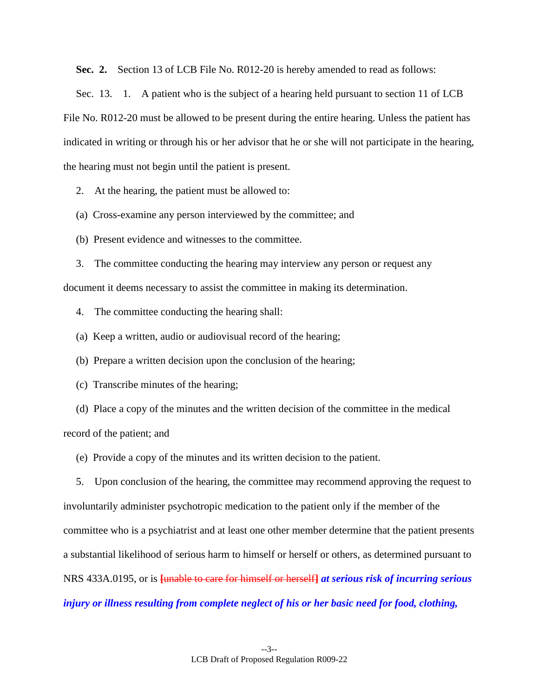**Sec. 2.** Section 13 of LCB File No. R012-20 is hereby amended to read as follows:

Sec. 13. 1. A patient who is the subject of a hearing held pursuant to section 11 of LCB File No. R012-20 must be allowed to be present during the entire hearing. Unless the patient has indicated in writing or through his or her advisor that he or she will not participate in the hearing, the hearing must not begin until the patient is present.

2. At the hearing, the patient must be allowed to:

(a) Cross-examine any person interviewed by the committee; and

(b) Present evidence and witnesses to the committee.

3. The committee conducting the hearing may interview any person or request any document it deems necessary to assist the committee in making its determination.

4. The committee conducting the hearing shall:

(a) Keep a written, audio or audiovisual record of the hearing;

(b) Prepare a written decision upon the conclusion of the hearing;

(c) Transcribe minutes of the hearing;

(d) Place a copy of the minutes and the written decision of the committee in the medical record of the patient; and

(e) Provide a copy of the minutes and its written decision to the patient.

5. Upon conclusion of the hearing, the committee may recommend approving the request to involuntarily administer psychotropic medication to the patient only if the member of the committee who is a psychiatrist and at least one other member determine that the patient presents a substantial likelihood of serious harm to himself or herself or others, as determined pursuant to NRS 433A.0195, or is **[**unable to care for himself or herself**]** *at serious risk of incurring serious injury or illness resulting from complete neglect of his or her basic need for food, clothing,*